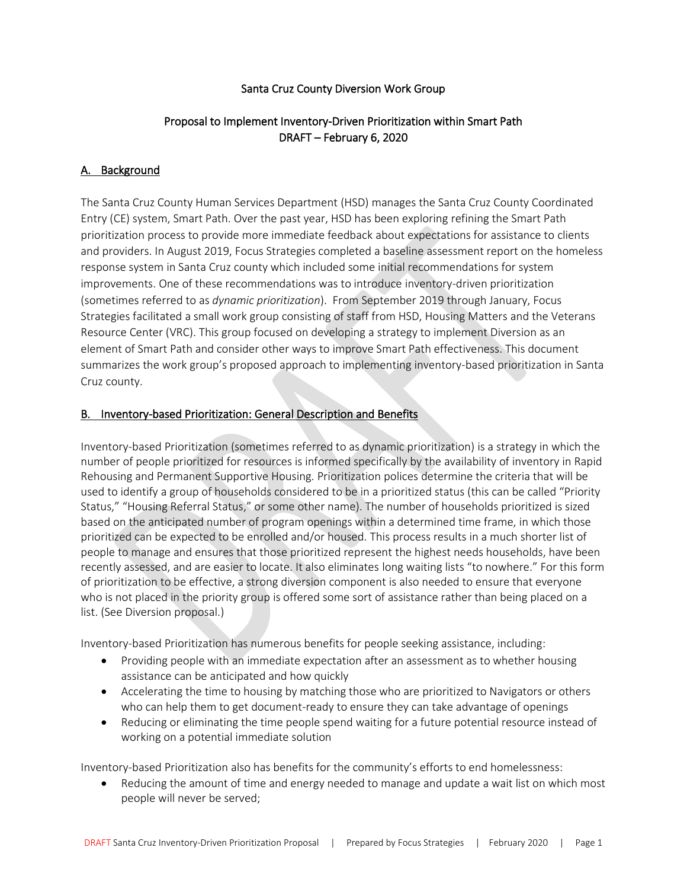#### Santa Cruz County Diversion Work Group

# Proposal to Implement Inventory-Driven Prioritization within Smart Path DRAFT – February 6, 2020

#### A. Background

The Santa Cruz County Human Services Department (HSD) manages the Santa Cruz County Coordinated Entry (CE) system, Smart Path. Over the past year, HSD has been exploring refining the Smart Path prioritization process to provide more immediate feedback about expectations for assistance to clients and providers. In August 2019, Focus Strategies completed a baseline assessment report on the homeless response system in Santa Cruz county which included some initial recommendations for system improvements. One of these recommendations was to introduce inventory-driven prioritization (sometimes referred to as *dynamic prioritization*). From September 2019 through January, Focus Strategies facilitated a small work group consisting of staff from HSD, Housing Matters and the Veterans Resource Center (VRC). This group focused on developing a strategy to implement Diversion as an element of Smart Path and consider other ways to improve Smart Path effectiveness. This document summarizes the work group's proposed approach to implementing inventory-based prioritization in Santa Cruz county.

#### B. Inventory-based Prioritization: General Description and Benefits

Inventory-based Prioritization (sometimes referred to as dynamic prioritization) is a strategy in which the number of people prioritized for resources is informed specifically by the availability of inventory in Rapid Rehousing and Permanent Supportive Housing. Prioritization polices determine the criteria that will be used to identify a group of households considered to be in a prioritized status (this can be called "Priority Status," "Housing Referral Status," or some other name). The number of households prioritized is sized based on the anticipated number of program openings within a determined time frame, in which those prioritized can be expected to be enrolled and/or housed. This process results in a much shorter list of people to manage and ensures that those prioritized represent the highest needs households, have been recently assessed, and are easier to locate. It also eliminates long waiting lists "to nowhere." For this form of prioritization to be effective, a strong diversion component is also needed to ensure that everyone who is not placed in the priority group is offered some sort of assistance rather than being placed on a list. (See Diversion proposal.)

Inventory-based Prioritization has numerous benefits for people seeking assistance, including:

- Providing people with an immediate expectation after an assessment as to whether housing assistance can be anticipated and how quickly
- Accelerating the time to housing by matching those who are prioritized to Navigators or others who can help them to get document-ready to ensure they can take advantage of openings
- Reducing or eliminating the time people spend waiting for a future potential resource instead of working on a potential immediate solution

Inventory-based Prioritization also has benefits for the community's efforts to end homelessness:

• Reducing the amount of time and energy needed to manage and update a wait list on which most people will never be served;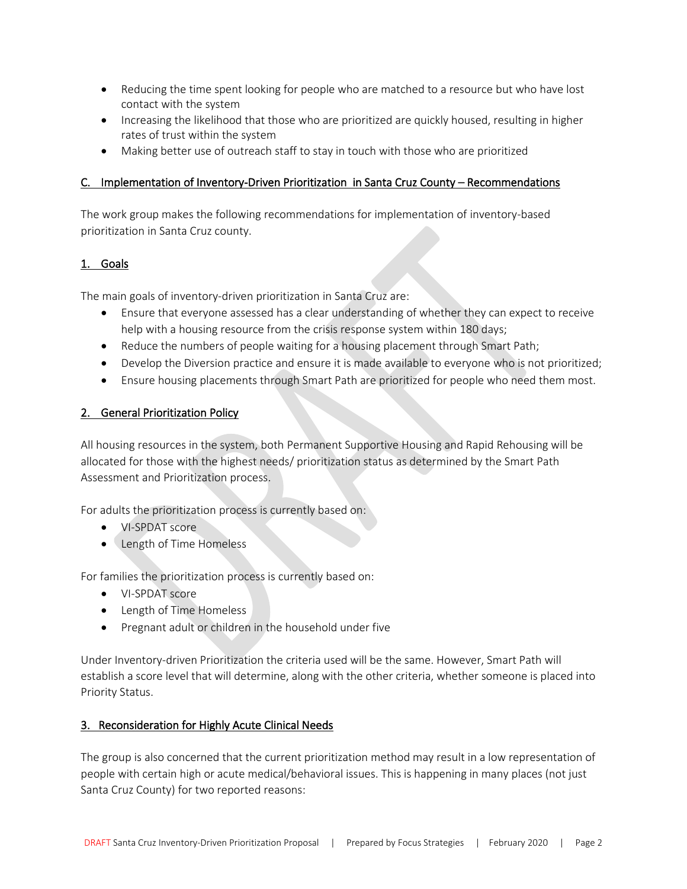- Reducing the time spent looking for people who are matched to a resource but who have lost contact with the system
- Increasing the likelihood that those who are prioritized are quickly housed, resulting in higher rates of trust within the system
- Making better use of outreach staff to stay in touch with those who are prioritized

## C. Implementation of Inventory-Driven Prioritization in Santa Cruz County – Recommendations

The work group makes the following recommendations for implementation of inventory-based prioritization in Santa Cruz county.

## 1. Goals

The main goals of inventory-driven prioritization in Santa Cruz are:

- Ensure that everyone assessed has a clear understanding of whether they can expect to receive help with a housing resource from the crisis response system within 180 days;
- Reduce the numbers of people waiting for a housing placement through Smart Path;
- Develop the Diversion practice and ensure it is made available to everyone who is not prioritized;
- Ensure housing placements through Smart Path are prioritized for people who need them most.

## 2. General Prioritization Policy

All housing resources in the system, both Permanent Supportive Housing and Rapid Rehousing will be allocated for those with the highest needs/ prioritization status as determined by the Smart Path Assessment and Prioritization process.

For adults the prioritization process is currently based on:

- VI-SPDAT score
- Length of Time Homeless

For families the prioritization process is currently based on:

- VI-SPDAT score
- Length of Time Homeless
- Pregnant adult or children in the household under five

Under Inventory-driven Prioritization the criteria used will be the same. However, Smart Path will establish a score level that will determine, along with the other criteria, whether someone is placed into Priority Status.

## 3. Reconsideration for Highly Acute Clinical Needs

The group is also concerned that the current prioritization method may result in a low representation of people with certain high or acute medical/behavioral issues. This is happening in many places (not just Santa Cruz County) for two reported reasons: